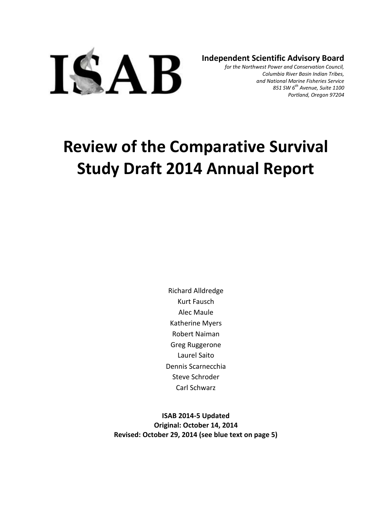

**Independent Scientific Advisory Board**

*for the Northwest Power and Conservation Council, Columbia River Basin Indian Tribes, and National Marine Fisheries Service 851 SW 6th Avenue, Suite 1100 Portland, Oregon 97204*

# **Review of the Comparative Survival Study Draft 2014 Annual Report**

Richard Alldredge Kurt Fausch Alec Maule Katherine Myers Robert Naiman Greg Ruggerone Laurel Saito Dennis Scarnecchia Steve Schroder Carl Schwarz

**ISAB 2014-5 Updated Original: October 14, 2014 Revised: October 29, 2014 (see blue text on page 5)**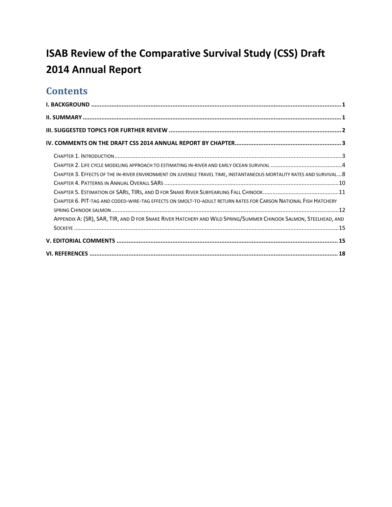# **ISAB Review of the Comparative Survival Study (CSS) Draft 2014 Annual Report**

# **Contents**

| CHAPTER 3. EFFECTS OF THE IN-RIVER ENVIRONMENT ON JUVENILE TRAVEL TIME, INSTANTANEOUS MORTALITY RATES AND SURVIVAL 8                                                                                                               |  |
|------------------------------------------------------------------------------------------------------------------------------------------------------------------------------------------------------------------------------------|--|
| CHAPTER 6. PIT-TAG AND CODED-WIRE-TAG EFFECTS ON SMOLT-TO-ADULT RETURN RATES FOR CARSON NATIONAL FISH HATCHERY<br>APPENDIX A: (SR), SAR, TIR, AND D FOR SNAKE RIVER HATCHERY AND WILD SPRING/SUMMER CHINOOK SALMON, STEELHEAD, AND |  |
|                                                                                                                                                                                                                                    |  |
|                                                                                                                                                                                                                                    |  |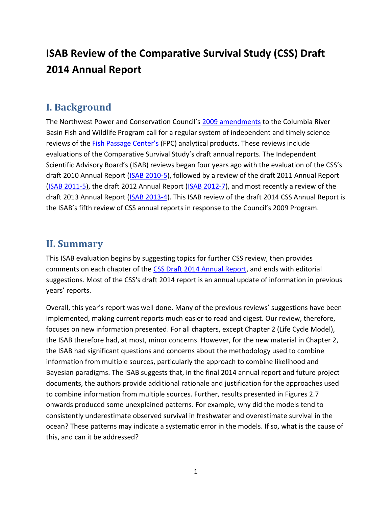# **ISAB Review of the Comparative Survival Study (CSS) Draft 2014 Annual Report**

# <span id="page-2-0"></span>**I. Background**

The Northwest Power and Conservation Council's [2009 amendments](http://www.nwcouncil.org/library/2009/2009-09) to the Columbia River Basin Fish and Wildlife Program call for a regular system of independent and timely science reviews of the [Fish Passage Center's](http://www.fpc.org/) (FPC) analytical products. These reviews include evaluations of the Comparative Survival Study's draft annual reports. The Independent Scientific Advisory Board's (ISAB) reviews began four years ago with the evaluation of the CSS's draft 2010 Annual Report [\(ISAB 2010-5\)](http://www.nwcouncil.org/library/report.asp?d=11), followed by a review of the draft 2011 Annual Report [\(ISAB 2011-5\)](http://www.nwcouncil.org/library/report.asp?d=652), the draft 2012 Annual Report [\(ISAB 2012-7\)](http://www.nwcouncil.org/fw/isab/isab2012-7/), and most recently a review of the draft 2013 Annual Report [\(ISAB 2013-4\)](http://www.nwcouncil.org/fw/isab/isab2013-4). This ISAB review of the draft 2014 CSS Annual Report is the ISAB's fifth review of CSS annual reports in response to the Council's 2009 Program.

#### <span id="page-2-1"></span>**II. Summary**

This ISAB evaluation begins by suggesting topics for further CSS review, then provides comments on each chapter of the [CSS Draft 2014](http://www.fpc.org/documents/CSS/DRAFT_CSS_2014_Annual_Report.pdf) Annual Report, and ends with editorial suggestions. Most of the CSS's draft 2014 report is an annual update of information in previous years' reports.

Overall, this year's report was well done. Many of the previous reviews' suggestions have been implemented, making current reports much easier to read and digest. Our review, therefore, focuses on new information presented. For all chapters, except Chapter 2 (Life Cycle Model), the ISAB therefore had, at most, minor concerns. However, for the new material in Chapter 2, the ISAB had significant questions and concerns about the methodology used to combine information from multiple sources, particularly the approach to combine likelihood and Bayesian paradigms. The ISAB suggests that, in the final 2014 annual report and future project documents, the authors provide additional rationale and justification for the approaches used to combine information from multiple sources. Further, results presented in Figures 2.7 onwards produced some unexplained patterns. For example, why did the models tend to consistently underestimate observed survival in freshwater and overestimate survival in the ocean? These patterns may indicate a systematic error in the models. If so, what is the cause of this, and can it be addressed?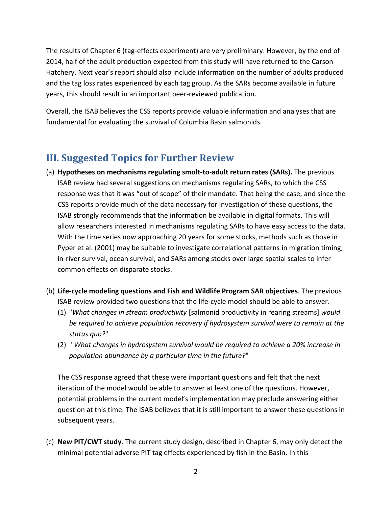The results of Chapter 6 (tag-effects experiment) are very preliminary. However, by the end of 2014, half of the adult production expected from this study will have returned to the Carson Hatchery. Next year's report should also include information on the number of adults produced and the tag loss rates experienced by each tag group. As the SARs become available in future years, this should result in an important peer-reviewed publication.

Overall, the ISAB believes the CSS reports provide valuable information and analyses that are fundamental for evaluating the survival of Columbia Basin salmonids.

# <span id="page-3-0"></span>**III. Suggested Topics for Further Review**

- (a) **Hypotheses on mechanisms regulating smolt-to-adult return rates (SARs).** The previous ISAB review had several suggestions on mechanisms regulating SARs, to which the CSS response was that it was "out of scope" of their mandate. That being the case, and since the CSS reports provide much of the data necessary for investigation of these questions, the ISAB strongly recommends that the information be available in digital formats. This will allow researchers interested in mechanisms regulating SARs to have easy access to the data. With the time series now approaching 20 years for some stocks, methods such as those in Pyper et al. (2001) may be suitable to investigate correlational patterns in migration timing, in-river survival, ocean survival, and SARs among stocks over large spatial scales to infer common effects on disparate stocks.
- (b) **Life-cycle modeling questions and Fish and Wildlife Program SAR objectives**. The previous ISAB review provided two questions that the life-cycle model should be able to answer.
	- (1) "*What changes in stream productivity* [salmonid productivity in rearing streams] *would be required to achieve population recovery if hydrosystem survival were to remain at the status quo?*"
	- (2) "*What changes in hydrosystem survival would be required to achieve a 20% increase in population abundance by a particular time in the future?*"

The CSS response agreed that these were important questions and felt that the next iteration of the model would be able to answer at least one of the questions. However, potential problems in the current model's implementation may preclude answering either question at this time. The ISAB believes that it is still important to answer these questions in subsequent years.

(c) **New PIT/CWT study**. The current study design, described in Chapter 6, may only detect the minimal potential adverse PIT tag effects experienced by fish in the Basin. In this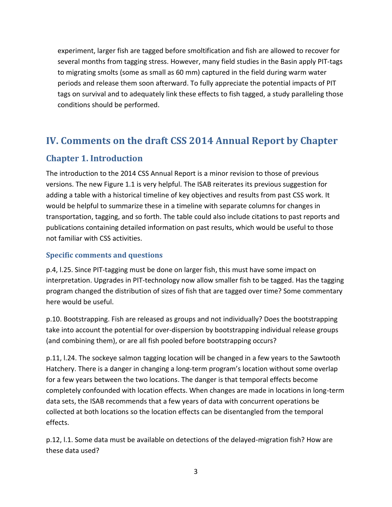experiment, larger fish are tagged before smoltification and fish are allowed to recover for several months from tagging stress. However, many field studies in the Basin apply PIT-tags to migrating smolts (some as small as 60 mm) captured in the field during warm water periods and release them soon afterward. To fully appreciate the potential impacts of PIT tags on survival and to adequately link these effects to fish tagged, a study paralleling those conditions should be performed.

# <span id="page-4-0"></span>**IV. Comments on the draft CSS 2014 Annual Report by Chapter**

#### <span id="page-4-1"></span>**Chapter 1. Introduction**

The introduction to the 2014 CSS Annual Report is a minor revision to those of previous versions. The new Figure 1.1 is very helpful. The ISAB reiterates its previous suggestion for adding a table with a historical timeline of key objectives and results from past CSS work. It would be helpful to summarize these in a timeline with separate columns for changes in transportation, tagging, and so forth. The table could also include citations to past reports and publications containing detailed information on past results, which would be useful to those not familiar with CSS activities.

#### **Specific comments and questions**

p.4, l.25. Since PIT-tagging must be done on larger fish, this must have some impact on interpretation. Upgrades in PIT-technology now allow smaller fish to be tagged. Has the tagging program changed the distribution of sizes of fish that are tagged over time? Some commentary here would be useful.

p.10. Bootstrapping. Fish are released as groups and not individually? Does the bootstrapping take into account the potential for over-dispersion by bootstrapping individual release groups (and combining them), or are all fish pooled before bootstrapping occurs?

p.11, l.24. The sockeye salmon tagging location will be changed in a few years to the Sawtooth Hatchery. There is a danger in changing a long-term program's location without some overlap for a few years between the two locations. The danger is that temporal effects become completely confounded with location effects. When changes are made in locations in long-term data sets, the ISAB recommends that a few years of data with concurrent operations be collected at both locations so the location effects can be disentangled from the temporal effects.

p.12, l.1. Some data must be available on detections of the delayed-migration fish? How are these data used?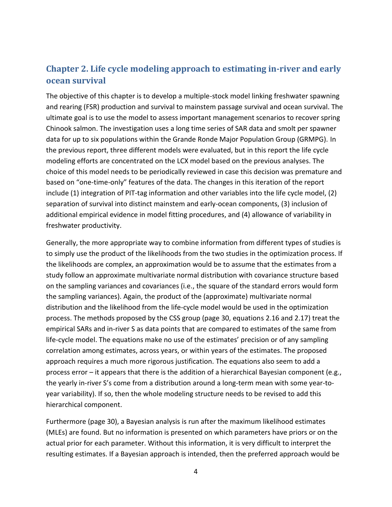### <span id="page-5-0"></span>**Chapter 2. Life cycle modeling approach to estimating in-river and early ocean survival**

The objective of this chapter is to develop a multiple-stock model linking freshwater spawning and rearing (FSR) production and survival to mainstem passage survival and ocean survival. The ultimate goal is to use the model to assess important management scenarios to recover spring Chinook salmon. The investigation uses a long time series of SAR data and smolt per spawner data for up to six populations within the Grande Ronde Major Population Group (GRMPG). In the previous report, three different models were evaluated, but in this report the life cycle modeling efforts are concentrated on the LCX model based on the previous analyses. The choice of this model needs to be periodically reviewed in case this decision was premature and based on "one-time-only" features of the data. The changes in this iteration of the report include (1) integration of PIT-tag information and other variables into the life cycle model, (2) separation of survival into distinct mainstem and early-ocean components, (3) inclusion of additional empirical evidence in model fitting procedures, and (4) allowance of variability in freshwater productivity.

Generally, the more appropriate way to combine information from different types of studies is to simply use the product of the likelihoods from the two studies in the optimization process. If the likelihoods are complex, an approximation would be to assume that the estimates from a study follow an approximate multivariate normal distribution with covariance structure based on the sampling variances and covariances (i.e., the square of the standard errors would form the sampling variances). Again, the product of the (approximate) multivariate normal distribution and the likelihood from the life-cycle model would be used in the optimization process. The methods proposed by the CSS group (page 30, equations 2.16 and 2.17) treat the empirical SARs and in-river S as data points that are compared to estimates of the same from life-cycle model. The equations make no use of the estimates' precision or of any sampling correlation among estimates, across years, or within years of the estimates. The proposed approach requires a much more rigorous justification. The equations also seem to add a process error – it appears that there is the addition of a hierarchical Bayesian component (e.g., the yearly in-river S's come from a distribution around a long-term mean with some year-toyear variability). If so, then the whole modeling structure needs to be revised to add this hierarchical component.

Furthermore (page 30), a Bayesian analysis is run after the maximum likelihood estimates (MLEs) are found. But no information is presented on which parameters have priors or on the actual prior for each parameter. Without this information, it is very difficult to interpret the resulting estimates. If a Bayesian approach is intended, then the preferred approach would be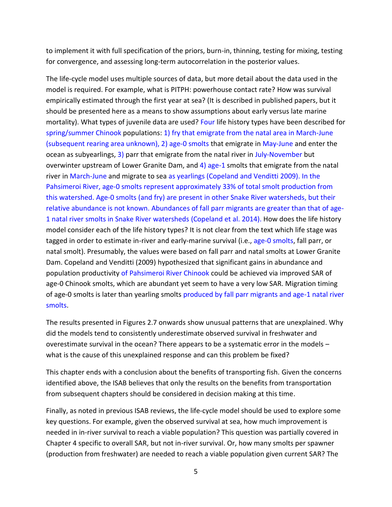to implement it with full specification of the priors, burn-in, thinning, testing for mixing, testing for convergence, and assessing long-term autocorrelation in the posterior values.

The life-cycle model uses multiple sources of data, but more detail about the data used in the model is required. For example, what is PITPH: powerhouse contact rate? How was survival empirically estimated through the first year at sea? (It is described in published papers, but it should be presented here as a means to show assumptions about early versus late marine mortality). What types of juvenile data are used? Four life history types have been described for spring/summer Chinook populations: 1) fry that emigrate from the natal area in March-June (subsequent rearing area unknown), 2) age-0 smolts that emigrate in May-June and enter the ocean as subyearlings, 3) parr that emigrate from the natal river in July-November but overwinter upstream of Lower Granite Dam, and 4) age-1 smolts that emigrate from the natal river in March-June and migrate to sea as yearlings (Copeland and Venditti 2009). In the Pahsimeroi River, age-0 smolts represent approximately 33% of total smolt production from this watershed. Age-0 smolts (and fry) are present in other Snake River watersheds, but their relative abundance is not known. Abundances of fall parr migrants are greater than that of age-1 natal river smolts in Snake River watersheds (Copeland et al. 2014). How does the life history model consider each of the life history types? It is not clear from the text which life stage was tagged in order to estimate in-river and early-marine survival (i.e., age-0 smolts, fall parr, or natal smolt). Presumably, the values were based on fall parr and natal smolts at Lower Granite Dam. Copeland and Venditti (2009) hypothesized that significant gains in abundance and population productivity of Pahsimeroi River Chinook could be achieved via improved SAR of age-0 Chinook smolts, which are abundant yet seem to have a very low SAR. Migration timing of age-0 smolts is later than yearling smolts produced by fall parr migrants and age-1 natal river smolts.

The results presented in Figures 2.7 onwards show unusual patterns that are unexplained. Why did the models tend to consistently underestimate observed survival in freshwater and overestimate survival in the ocean? There appears to be a systematic error in the models – what is the cause of this unexplained response and can this problem be fixed?

This chapter ends with a conclusion about the benefits of transporting fish. Given the concerns identified above, the ISAB believes that only the results on the benefits from transportation from subsequent chapters should be considered in decision making at this time.

Finally, as noted in previous ISAB reviews, the life-cycle model should be used to explore some key questions. For example, given the observed survival at sea, how much improvement is needed in in-river survival to reach a viable population? This question was partially covered in Chapter 4 specific to overall SAR, but not in-river survival. Or, how many smolts per spawner (production from freshwater) are needed to reach a viable population given current SAR? The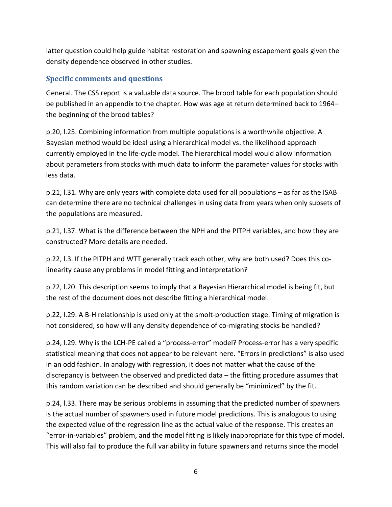latter question could help guide habitat restoration and spawning escapement goals given the density dependence observed in other studies.

#### **Specific comments and questions**

General. The CSS report is a valuable data source. The brood table for each population should be published in an appendix to the chapter. How was age at return determined back to 1964– the beginning of the brood tables?

p.20, l.25. Combining information from multiple populations is a worthwhile objective. A Bayesian method would be ideal using a hierarchical model vs. the likelihood approach currently employed in the life-cycle model. The hierarchical model would allow information about parameters from stocks with much data to inform the parameter values for stocks with less data.

p.21, l.31. Why are only years with complete data used for all populations – as far as the ISAB can determine there are no technical challenges in using data from years when only subsets of the populations are measured.

p.21, l.37. What is the difference between the NPH and the PITPH variables, and how they are constructed? More details are needed.

p.22, l.3. If the PITPH and WTT generally track each other, why are both used? Does this colinearity cause any problems in model fitting and interpretation?

p.22, l.20. This description seems to imply that a Bayesian Hierarchical model is being fit, but the rest of the document does not describe fitting a hierarchical model.

p.22, l.29. A B-H relationship is used only at the smolt-production stage. Timing of migration is not considered, so how will any density dependence of co-migrating stocks be handled?

p.24, l.29. Why is the LCH-PE called a "process-error" model? Process-error has a very specific statistical meaning that does not appear to be relevant here. "Errors in predictions" is also used in an odd fashion. In analogy with regression, it does not matter what the cause of the discrepancy is between the observed and predicted data – the fitting procedure assumes that this random variation can be described and should generally be "minimized" by the fit.

p.24, l.33. There may be serious problems in assuming that the predicted number of spawners is the actual number of spawners used in future model predictions. This is analogous to using the expected value of the regression line as the actual value of the response. This creates an "error-in-variables" problem, and the model fitting is likely inappropriate for this type of model. This will also fail to produce the full variability in future spawners and returns since the model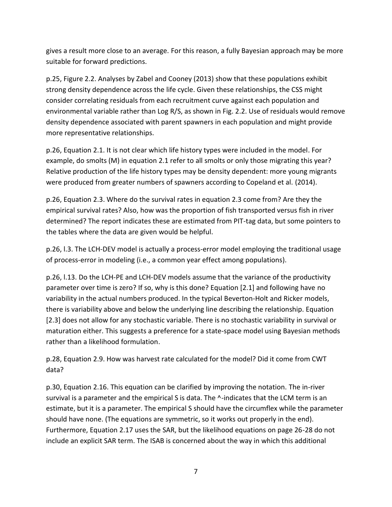gives a result more close to an average. For this reason, a fully Bayesian approach may be more suitable for forward predictions.

p.25, Figure 2.2. Analyses by Zabel and Cooney (2013) show that these populations exhibit strong density dependence across the life cycle. Given these relationships, the CSS might consider correlating residuals from each recruitment curve against each population and environmental variable rather than Log R/S, as shown in Fig. 2.2. Use of residuals would remove density dependence associated with parent spawners in each population and might provide more representative relationships.

p.26, Equation 2.1. It is not clear which life history types were included in the model. For example, do smolts (M) in equation 2.1 refer to all smolts or only those migrating this year? Relative production of the life history types may be density dependent: more young migrants were produced from greater numbers of spawners according to Copeland et al. (2014).

p.26, Equation 2.3. Where do the survival rates in equation 2.3 come from? Are they the empirical survival rates? Also, how was the proportion of fish transported versus fish in river determined? The report indicates these are estimated from PIT-tag data, but some pointers to the tables where the data are given would be helpful.

p.26, l.3. The LCH-DEV model is actually a process-error model employing the traditional usage of process-error in modeling (i.e., a common year effect among populations).

p.26, l.13. Do the LCH-PE and LCH-DEV models assume that the variance of the productivity parameter over time is zero? If so, why is this done? Equation [2.1] and following have no variability in the actual numbers produced. In the typical Beverton-Holt and Ricker models, there is variability above and below the underlying line describing the relationship. Equation [2.3] does not allow for any stochastic variable. There is no stochastic variability in survival or maturation either. This suggests a preference for a state-space model using Bayesian methods rather than a likelihood formulation.

p.28, Equation 2.9. How was harvest rate calculated for the model? Did it come from CWT data?

p.30, Equation 2.16. This equation can be clarified by improving the notation. The in-river survival is a parameter and the empirical S is data. The ^-indicates that the LCM term is an estimate, but it is a parameter. The empirical S should have the circumflex while the parameter should have none. (The equations are symmetric, so it works out properly in the end). Furthermore, Equation 2.17 uses the SAR, but the likelihood equations on page 26-28 do not include an explicit SAR term. The ISAB is concerned about the way in which this additional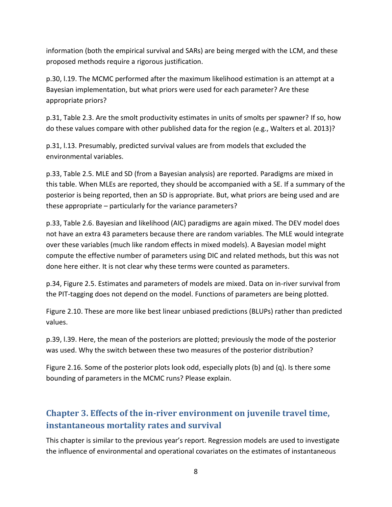information (both the empirical survival and SARs) are being merged with the LCM, and these proposed methods require a rigorous justification.

p.30, l.19. The MCMC performed after the maximum likelihood estimation is an attempt at a Bayesian implementation, but what priors were used for each parameter? Are these appropriate priors?

p.31, Table 2.3. Are the smolt productivity estimates in units of smolts per spawner? If so, how do these values compare with other published data for the region (e.g., Walters et al. 2013)?

p.31, l.13. Presumably, predicted survival values are from models that excluded the environmental variables.

p.33, Table 2.5. MLE and SD (from a Bayesian analysis) are reported. Paradigms are mixed in this table. When MLEs are reported, they should be accompanied with a SE. If a summary of the posterior is being reported, then an SD is appropriate. But, what priors are being used and are these appropriate – particularly for the variance parameters?

p.33, Table 2.6. Bayesian and likelihood (AIC) paradigms are again mixed. The DEV model does not have an extra 43 parameters because there are random variables. The MLE would integrate over these variables (much like random effects in mixed models). A Bayesian model might compute the effective number of parameters using DIC and related methods, but this was not done here either. It is not clear why these terms were counted as parameters.

p.34, Figure 2.5. Estimates and parameters of models are mixed. Data on in-river survival from the PIT-tagging does not depend on the model. Functions of parameters are being plotted.

Figure 2.10. These are more like best linear unbiased predictions (BLUPs) rather than predicted values.

p.39, l.39. Here, the mean of the posteriors are plotted; previously the mode of the posterior was used. Why the switch between these two measures of the posterior distribution?

Figure 2.16. Some of the posterior plots look odd, especially plots (b) and (q). Is there some bounding of parameters in the MCMC runs? Please explain.

#### <span id="page-9-0"></span>**Chapter 3. Effects of the in-river environment on juvenile travel time, instantaneous mortality rates and survival**

This chapter is similar to the previous year's report. Regression models are used to investigate the influence of environmental and operational covariates on the estimates of instantaneous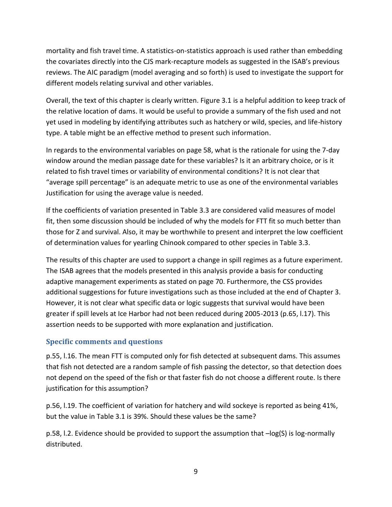mortality and fish travel time. A statistics-on-statistics approach is used rather than embedding the covariates directly into the CJS mark-recapture models as suggested in the ISAB's previous reviews. The AIC paradigm (model averaging and so forth) is used to investigate the support for different models relating survival and other variables.

Overall, the text of this chapter is clearly written. Figure 3.1 is a helpful addition to keep track of the relative location of dams. It would be useful to provide a summary of the fish used and not yet used in modeling by identifying attributes such as hatchery or wild, species, and life-history type. A table might be an effective method to present such information.

In regards to the environmental variables on page 58, what is the rationale for using the 7-day window around the median passage date for these variables? Is it an arbitrary choice, or is it related to fish travel times or variability of environmental conditions? It is not clear that "average spill percentage" is an adequate metric to use as one of the environmental variables Justification for using the average value is needed.

If the coefficients of variation presented in Table 3.3 are considered valid measures of model fit, then some discussion should be included of why the models for FTT fit so much better than those for Z and survival. Also, it may be worthwhile to present and interpret the low coefficient of determination values for yearling Chinook compared to other species in Table 3.3.

The results of this chapter are used to support a change in spill regimes as a future experiment. The ISAB agrees that the models presented in this analysis provide a basis for conducting adaptive management experiments as stated on page 70. Furthermore, the CSS provides additional suggestions for future investigations such as those included at the end of Chapter 3. However, it is not clear what specific data or logic suggests that survival would have been greater if spill levels at Ice Harbor had not been reduced during 2005-2013 (p.65, l.17). This assertion needs to be supported with more explanation and justification.

#### **Specific comments and questions**

p.55, l.16. The mean FTT is computed only for fish detected at subsequent dams. This assumes that fish not detected are a random sample of fish passing the detector, so that detection does not depend on the speed of the fish or that faster fish do not choose a different route. Is there justification for this assumption?

p.56, l.19. The coefficient of variation for hatchery and wild sockeye is reported as being 41%, but the value in Table 3.1 is 39%. Should these values be the same?

p.58, l.2. Evidence should be provided to support the assumption that –log(S) is log-normally distributed.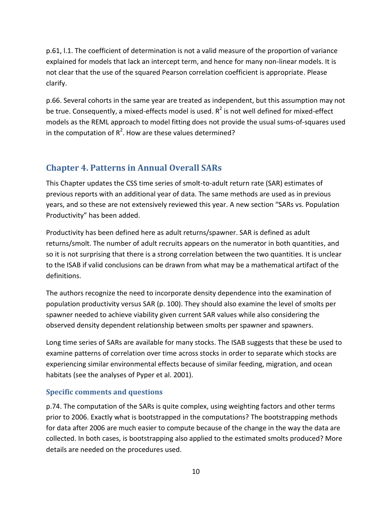p.61, l.1. The coefficient of determination is not a valid measure of the proportion of variance explained for models that lack an intercept term, and hence for many non-linear models. It is not clear that the use of the squared Pearson correlation coefficient is appropriate. Please clarify.

p.66. Several cohorts in the same year are treated as independent, but this assumption may not be true. Consequently, a mixed-effects model is used.  $R^2$  is not well defined for mixed-effect models as the REML approach to model fitting does not provide the usual sums-of-squares used in the computation of  $R^2$ . How are these values determined?

#### <span id="page-11-0"></span>**Chapter 4. Patterns in Annual Overall SARs**

This Chapter updates the CSS time series of smolt-to-adult return rate (SAR) estimates of previous reports with an additional year of data. The same methods are used as in previous years, and so these are not extensively reviewed this year. A new section "SARs vs. Population Productivity" has been added.

Productivity has been defined here as adult returns/spawner. SAR is defined as adult returns/smolt. The number of adult recruits appears on the numerator in both quantities, and so it is not surprising that there is a strong correlation between the two quantities. It is unclear to the ISAB if valid conclusions can be drawn from what may be a mathematical artifact of the definitions.

The authors recognize the need to incorporate density dependence into the examination of population productivity versus SAR (p. 100). They should also examine the level of smolts per spawner needed to achieve viability given current SAR values while also considering the observed density dependent relationship between smolts per spawner and spawners.

Long time series of SARs are available for many stocks. The ISAB suggests that these be used to examine patterns of correlation over time across stocks in order to separate which stocks are experiencing similar environmental effects because of similar feeding, migration, and ocean habitats (see the analyses of Pyper et al. 2001).

#### **Specific comments and questions**

p.74. The computation of the SARs is quite complex, using weighting factors and other terms prior to 2006. Exactly what is bootstrapped in the computations? The bootstrapping methods for data after 2006 are much easier to compute because of the change in the way the data are collected. In both cases, is bootstrapping also applied to the estimated smolts produced? More details are needed on the procedures used.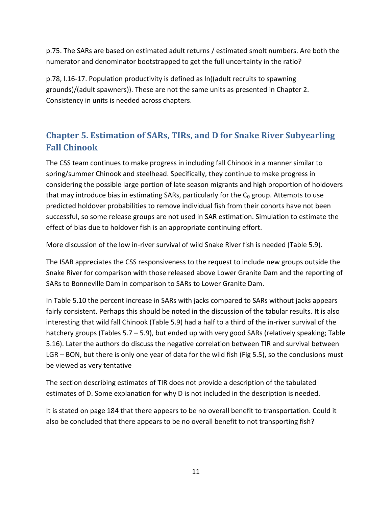p.75. The SARs are based on estimated adult returns / estimated smolt numbers. Are both the numerator and denominator bootstrapped to get the full uncertainty in the ratio?

p.78, l.16-17. Population productivity is defined as ln((adult recruits to spawning grounds)/(adult spawners)). These are not the same units as presented in Chapter 2. Consistency in units is needed across chapters.

## <span id="page-12-0"></span>**Chapter 5. Estimation of SARs, TIRs, and D for Snake River Subyearling Fall Chinook**

The CSS team continues to make progress in including fall Chinook in a manner similar to spring/summer Chinook and steelhead. Specifically, they continue to make progress in considering the possible large portion of late season migrants and high proportion of holdovers that may introduce bias in estimating SARs, particularly for the  $C_0$  group. Attempts to use predicted holdover probabilities to remove individual fish from their cohorts have not been successful, so some release groups are not used in SAR estimation. Simulation to estimate the effect of bias due to holdover fish is an appropriate continuing effort.

More discussion of the low in-river survival of wild Snake River fish is needed (Table 5.9).

The ISAB appreciates the CSS responsiveness to the request to include new groups outside the Snake River for comparison with those released above Lower Granite Dam and the reporting of SARs to Bonneville Dam in comparison to SARs to Lower Granite Dam.

In Table 5.10 the percent increase in SARs with jacks compared to SARs without jacks appears fairly consistent. Perhaps this should be noted in the discussion of the tabular results. It is also interesting that wild fall Chinook (Table 5.9) had a half to a third of the in-river survival of the hatchery groups (Tables 5.7 – 5.9), but ended up with very good SARs (relatively speaking; Table 5.16). Later the authors do discuss the negative correlation between TIR and survival between LGR – BON, but there is only one year of data for the wild fish (Fig 5.5), so the conclusions must be viewed as very tentative

The section describing estimates of TIR does not provide a description of the tabulated estimates of D. Some explanation for why D is not included in the description is needed.

It is stated on page 184 that there appears to be no overall benefit to transportation. Could it also be concluded that there appears to be no overall benefit to not transporting fish?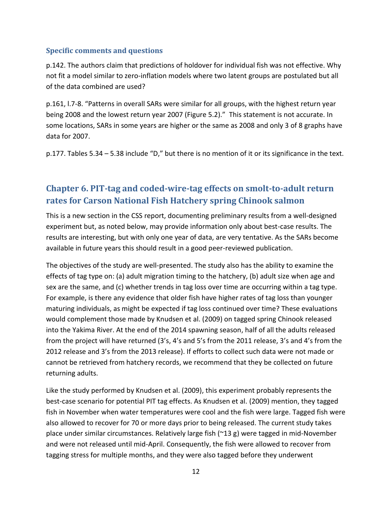#### **Specific comments and questions**

p.142. The authors claim that predictions of holdover for individual fish was not effective. Why not fit a model similar to zero-inflation models where two latent groups are postulated but all of the data combined are used?

p.161, l.7-8. "Patterns in overall SARs were similar for all groups, with the highest return year being 2008 and the lowest return year 2007 (Figure 5.2)." This statement is not accurate. In some locations, SARs in some years are higher or the same as 2008 and only 3 of 8 graphs have data for 2007.

p.177. Tables 5.34 – 5.38 include "D," but there is no mention of it or its significance in the text.

### <span id="page-13-0"></span>**Chapter 6. PIT-tag and coded-wire-tag effects on smolt-to-adult return rates for Carson National Fish Hatchery spring Chinook salmon**

This is a new section in the CSS report, documenting preliminary results from a well-designed experiment but, as noted below, may provide information only about best-case results. The results are interesting, but with only one year of data, are very tentative. As the SARs become available in future years this should result in a good peer-reviewed publication.

The objectives of the study are well-presented. The study also has the ability to examine the effects of tag type on: (a) adult migration timing to the hatchery, (b) adult size when age and sex are the same, and (c) whether trends in tag loss over time are occurring within a tag type. For example, is there any evidence that older fish have higher rates of tag loss than younger maturing individuals, as might be expected if tag loss continued over time? These evaluations would complement those made by Knudsen et al. (2009) on tagged spring Chinook released into the Yakima River. At the end of the 2014 spawning season, half of all the adults released from the project will have returned (3's, 4's and 5's from the 2011 release, 3's and 4's from the 2012 release and 3's from the 2013 release). If efforts to collect such data were not made or cannot be retrieved from hatchery records, we recommend that they be collected on future returning adults.

Like the study performed by Knudsen et al. (2009), this experiment probably represents the best-case scenario for potential PIT tag effects. As Knudsen et al. (2009) mention, they tagged fish in November when water temperatures were cool and the fish were large. Tagged fish were also allowed to recover for 70 or more days prior to being released. The current study takes place under similar circumstances. Relatively large fish (~13 g) were tagged in mid-November and were not released until mid-April. Consequently, the fish were allowed to recover from tagging stress for multiple months, and they were also tagged before they underwent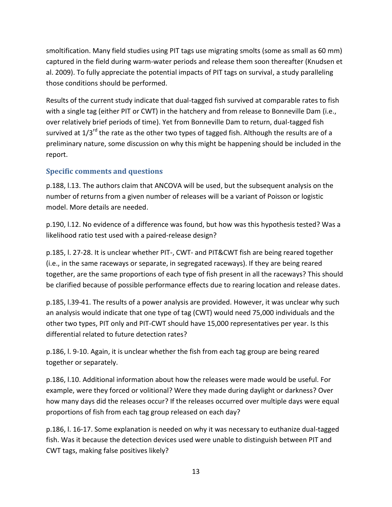smoltification. Many field studies using PIT tags use migrating smolts (some as small as 60 mm) captured in the field during warm-water periods and release them soon thereafter (Knudsen et al. 2009). To fully appreciate the potential impacts of PIT tags on survival, a study paralleling those conditions should be performed.

Results of the current study indicate that dual-tagged fish survived at comparable rates to fish with a single tag (either PIT or CWT) in the hatchery and from release to Bonneville Dam (i.e., over relatively brief periods of time). Yet from Bonneville Dam to return, dual-tagged fish survived at 1/3<sup>rd</sup> the rate as the other two types of tagged fish. Although the results are of a preliminary nature, some discussion on why this might be happening should be included in the report.

#### **Specific comments and questions**

p.188, l.13. The authors claim that ANCOVA will be used, but the subsequent analysis on the number of returns from a given number of releases will be a variant of Poisson or logistic model. More details are needed.

p.190, l.12. No evidence of a difference was found, but how was this hypothesis tested? Was a likelihood ratio test used with a paired-release design?

p.185, l. 27-28. It is unclear whether PIT-, CWT- and PIT&CWT fish are being reared together (i.e., in the same raceways or separate, in segregated raceways). If they are being reared together, are the same proportions of each type of fish present in all the raceways? This should be clarified because of possible performance effects due to rearing location and release dates.

p.185, l.39-41. The results of a power analysis are provided. However, it was unclear why such an analysis would indicate that one type of tag (CWT) would need 75,000 individuals and the other two types, PIT only and PIT-CWT should have 15,000 representatives per year. Is this differential related to future detection rates?

p.186, l. 9-10. Again, it is unclear whether the fish from each tag group are being reared together or separately.

p.186, l.10. Additional information about how the releases were made would be useful. For example, were they forced or volitional? Were they made during daylight or darkness? Over how many days did the releases occur? If the releases occurred over multiple days were equal proportions of fish from each tag group released on each day?

p.186, l. 16-17. Some explanation is needed on why it was necessary to euthanize dual-tagged fish. Was it because the detection devices used were unable to distinguish between PIT and CWT tags, making false positives likely?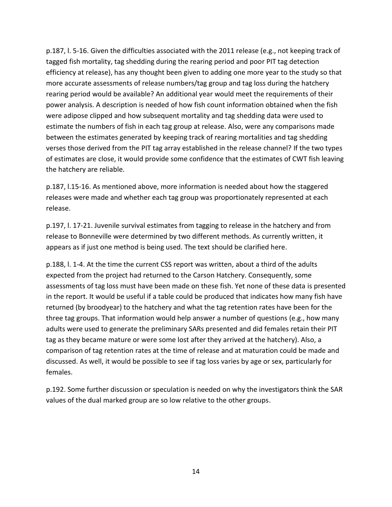p.187, l. 5-16. Given the difficulties associated with the 2011 release (e.g., not keeping track of tagged fish mortality, tag shedding during the rearing period and poor PIT tag detection efficiency at release), has any thought been given to adding one more year to the study so that more accurate assessments of release numbers/tag group and tag loss during the hatchery rearing period would be available? An additional year would meet the requirements of their power analysis. A description is needed of how fish count information obtained when the fish were adipose clipped and how subsequent mortality and tag shedding data were used to estimate the numbers of fish in each tag group at release. Also, were any comparisons made between the estimates generated by keeping track of rearing mortalities and tag shedding verses those derived from the PIT tag array established in the release channel? If the two types of estimates are close, it would provide some confidence that the estimates of CWT fish leaving the hatchery are reliable.

p.187, l.15-16. As mentioned above, more information is needed about how the staggered releases were made and whether each tag group was proportionately represented at each release.

p.197, l. 17-21. Juvenile survival estimates from tagging to release in the hatchery and from release to Bonneville were determined by two different methods. As currently written, it appears as if just one method is being used. The text should be clarified here.

p.188, l. 1-4. At the time the current CSS report was written, about a third of the adults expected from the project had returned to the Carson Hatchery. Consequently, some assessments of tag loss must have been made on these fish. Yet none of these data is presented in the report. It would be useful if a table could be produced that indicates how many fish have returned (by broodyear) to the hatchery and what the tag retention rates have been for the three tag groups. That information would help answer a number of questions (e.g., how many adults were used to generate the preliminary SARs presented and did females retain their PIT tag as they became mature or were some lost after they arrived at the hatchery). Also, a comparison of tag retention rates at the time of release and at maturation could be made and discussed. As well, it would be possible to see if tag loss varies by age or sex, particularly for females.

p.192. Some further discussion or speculation is needed on why the investigators think the SAR values of the dual marked group are so low relative to the other groups.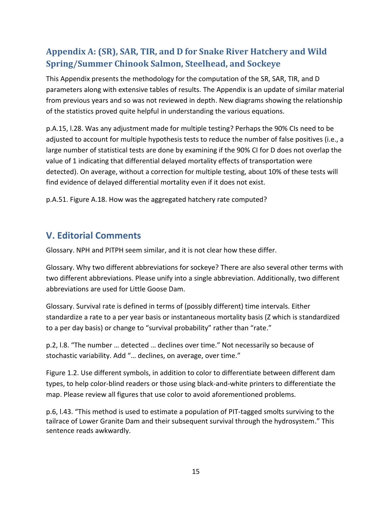## <span id="page-16-0"></span>**Appendix A: (SR), SAR, TIR, and D for Snake River Hatchery and Wild Spring/Summer Chinook Salmon, Steelhead, and Sockeye**

This Appendix presents the methodology for the computation of the SR, SAR, TIR, and D parameters along with extensive tables of results. The Appendix is an update of similar material from previous years and so was not reviewed in depth. New diagrams showing the relationship of the statistics proved quite helpful in understanding the various equations.

p.A.15, l.28. Was any adjustment made for multiple testing? Perhaps the 90% CIs need to be adjusted to account for multiple hypothesis tests to reduce the number of false positives (i.e., a large number of statistical tests are done by examining if the 90% CI for D does not overlap the value of 1 indicating that differential delayed mortality effects of transportation were detected). On average, without a correction for multiple testing, about 10% of these tests will find evidence of delayed differential mortality even if it does not exist.

p.A.51. Figure A.18. How was the aggregated hatchery rate computed?

## <span id="page-16-1"></span>**V. Editorial Comments**

Glossary. NPH and PITPH seem similar, and it is not clear how these differ.

Glossary. Why two different abbreviations for sockeye? There are also several other terms with two different abbreviations. Please unify into a single abbreviation. Additionally, two different abbreviations are used for Little Goose Dam.

Glossary. Survival rate is defined in terms of (possibly different) time intervals. Either standardize a rate to a per year basis or instantaneous mortality basis (Z which is standardized to a per day basis) or change to "survival probability" rather than "rate."

p.2, l.8. "The number … detected … declines over time." Not necessarily so because of stochastic variability. Add "… declines, on average, over time."

Figure 1.2. Use different symbols, in addition to color to differentiate between different dam types, to help color-blind readers or those using black-and-white printers to differentiate the map. Please review all figures that use color to avoid aforementioned problems.

p.6, l.43. "This method is used to estimate a population of PIT-tagged smolts surviving to the tailrace of Lower Granite Dam and their subsequent survival through the hydrosystem." This sentence reads awkwardly.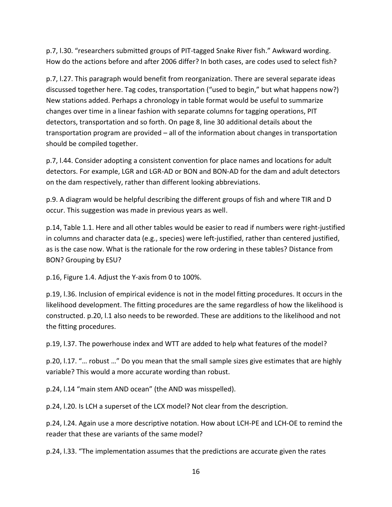p.7, l.30. "researchers submitted groups of PIT-tagged Snake River fish." Awkward wording. How do the actions before and after 2006 differ? In both cases, are codes used to select fish?

p.7, l.27. This paragraph would benefit from reorganization. There are several separate ideas discussed together here. Tag codes, transportation ("used to begin," but what happens now?) New stations added. Perhaps a chronology in table format would be useful to summarize changes over time in a linear fashion with separate columns for tagging operations, PIT detectors, transportation and so forth. On page 8, line 30 additional details about the transportation program are provided – all of the information about changes in transportation should be compiled together.

p.7, l.44. Consider adopting a consistent convention for place names and locations for adult detectors. For example, LGR and LGR-AD or BON and BON-AD for the dam and adult detectors on the dam respectively, rather than different looking abbreviations.

p.9. A diagram would be helpful describing the different groups of fish and where TIR and D occur. This suggestion was made in previous years as well.

p.14, Table 1.1. Here and all other tables would be easier to read if numbers were right-justified in columns and character data (e.g., species) were left-justified, rather than centered justified, as is the case now. What is the rationale for the row ordering in these tables? Distance from BON? Grouping by ESU?

p.16, Figure 1.4. Adjust the Y-axis from 0 to 100%.

p.19, l.36. Inclusion of empirical evidence is not in the model fitting procedures. It occurs in the likelihood development. The fitting procedures are the same regardless of how the likelihood is constructed. p.20, l.1 also needs to be reworded. These are additions to the likelihood and not the fitting procedures.

p.19, l.37. The powerhouse index and WTT are added to help what features of the model?

p.20, l.17. "… robust …" Do you mean that the small sample sizes give estimates that are highly variable? This would a more accurate wording than robust.

p.24, l.14 "main stem AND ocean" (the AND was misspelled).

p.24, l.20. Is LCH a superset of the LCX model? Not clear from the description.

p.24, l.24. Again use a more descriptive notation. How about LCH-PE and LCH-OE to remind the reader that these are variants of the same model?

p.24, l.33. "The implementation assumes that the predictions are accurate given the rates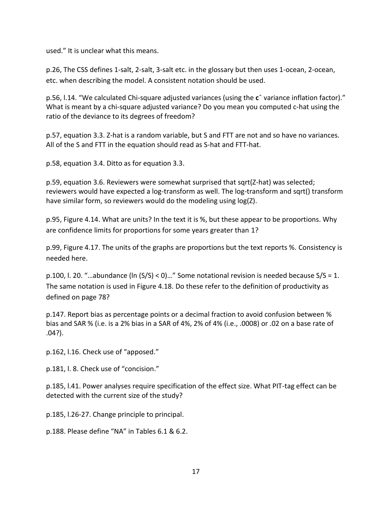used." It is unclear what this means.

p.26, The CSS defines 1-salt, 2-salt, 3-salt etc. in the glossary but then uses 1-ocean, 2-ocean, etc. when describing the model. A consistent notation should be used.

p.56, l.14. "We calculated Chi-square adjusted variances (using the **c**ˆ variance inflation factor)." What is meant by a chi-square adjusted variance? Do you mean you computed c-hat using the ratio of the deviance to its degrees of freedom?

p.57, equation 3.3. Z-hat is a random variable, but S and FTT are not and so have no variances. All of the S and FTT in the equation should read as S-hat and FTT-hat.

p.58, equation 3.4. Ditto as for equation 3.3.

p.59, equation 3.6. Reviewers were somewhat surprised that sqrt(Z-hat) was selected; reviewers would have expected a log-transform as well. The log-transform and sqrt() transform have similar form, so reviewers would do the modeling using log(Z).

p.95, Figure 4.14. What are units? In the text it is %, but these appear to be proportions. Why are confidence limits for proportions for some years greater than 1?

p.99, Figure 4.17. The units of the graphs are proportions but the text reports %. Consistency is needed here.

p.100, l. 20. "…abundance (ln (S/S) < 0)…" Some notational revision is needed because S/S = 1. The same notation is used in Figure 4.18. Do these refer to the definition of productivity as defined on page 78?

p.147. Report bias as percentage points or a decimal fraction to avoid confusion between % bias and SAR % (i.e. is a 2% bias in a SAR of 4%, 2% of 4% (i.e., .0008) or .02 on a base rate of .04?).

p.162, l.16. Check use of "apposed."

p.181, l. 8. Check use of "concision."

p.185, l.41. Power analyses require specification of the effect size. What PIT-tag effect can be detected with the current size of the study?

p.185, l.26-27. Change principle to principal.

p.188. Please define "NA" in Tables 6.1 & 6.2.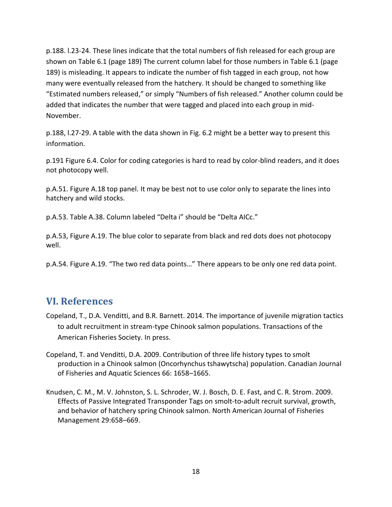p.188. l.23-24. These lines indicate that the total numbers of fish released for each group are shown on Table 6.1 (page 189) The current column label for those numbers in Table 6.1 (page 189) is misleading. It appears to indicate the number of fish tagged in each group, not how many were eventually released from the hatchery. It should be changed to something like "Estimated numbers released," or simply "Numbers of fish released." Another column could be added that indicates the number that were tagged and placed into each group in mid-November.

p.188, l.27-29. A table with the data shown in Fig. 6.2 might be a better way to present this information.

p.191 Figure 6.4. Color for coding categories is hard to read by color-blind readers, and it does not photocopy well.

p.A.51. Figure A.18 top panel. It may be best not to use color only to separate the lines into hatchery and wild stocks.

p.A.53. Table A.38. Column labeled "Delta i" should be "Delta AICc."

p.A.53, Figure A.19. The blue color to separate from black and red dots does not photocopy well.

p.A.54. Figure A.19. "The two red data points…" There appears to be only one red data point.

#### <span id="page-19-0"></span>**VI. References**

- Copeland, T., D.A. Venditti, and B.R. Barnett. 2014. The importance of juvenile migration tactics to adult recruitment in stream-type Chinook salmon populations. Transactions of the American Fisheries Society. In press.
- Copeland, T. and Venditti, D.A. 2009. Contribution of three life history types to smolt production in a Chinook salmon (Oncorhynchus tshawytscha) population. Canadian Journal of Fisheries and Aquatic Sciences 66: 1658–1665.
- Knudsen, C. M., M. V. Johnston, S. L. Schroder, W. J. Bosch, D. E. Fast, and C. R. Strom. 2009. Effects of Passive Integrated Transponder Tags on smolt-to-adult recruit survival, growth, and behavior of hatchery spring Chinook salmon. North American Journal of Fisheries Management 29:658–669.